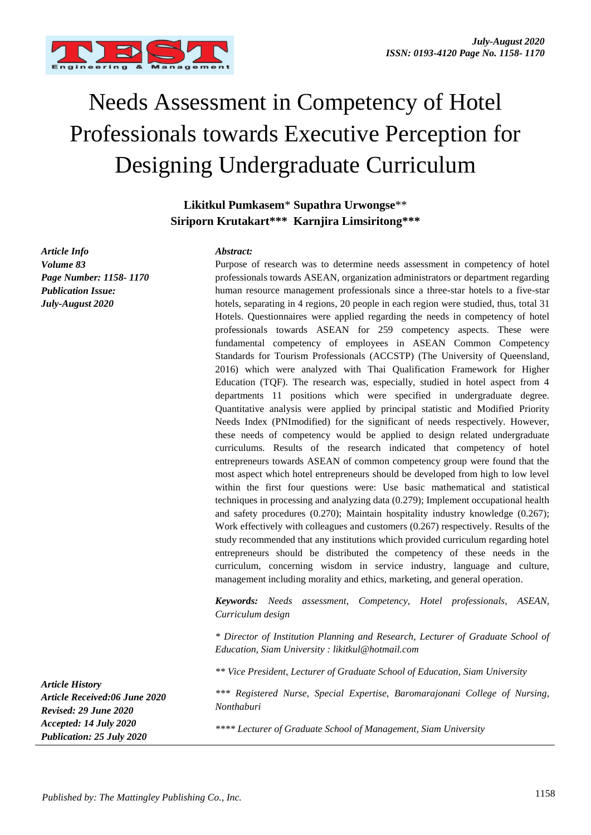

# Needs Assessment in Competency of Hotel Professionals towards Executive Perception for Designing Undergraduate Curriculum

**Likitkul Pumkasem**\* **Supathra Urwongse**\*\* **Siriporn Krutakart\*\*\* Karnjira Limsiritong\*\*\***

*Article Info Volume 83 Page Number: 1158- 1170 Publication Issue: July-August 2020*

#### *Abstract:*

Purpose of research was to determine needs assessment in competency of hotel professionals towards ASEAN, organization administrators or department regarding human resource management professionals since a three-star hotels to a five-star hotels, separating in 4 regions, 20 people in each region were studied, thus, total 31 Hotels. Questionnaires were applied regarding the needs in competency of hotel professionals towards ASEAN for 259 competency aspects. These were fundamental competency of employees in ASEAN Common Competency Standards for Tourism Professionals (ACCSTP) (The University of Queensland, 2016) which were analyzed with Thai Qualification Framework for Higher Education (TQF). The research was, especially, studied in hotel aspect from 4 departments 11 positions which were specified in undergraduate degree. Quantitative analysis were applied by principal statistic and Modified Priority Needs Index (PNImodified) for the significant of needs respectively. However, these needs of competency would be applied to design related undergraduate curriculums. Results of the research indicated that competency of hotel entrepreneurs towards ASEAN of common competency group were found that the most aspect which hotel entrepreneurs should be developed from high to low level within the first four questions were: Use basic mathematical and statistical techniques in processing and analyzing data (0.279); Implement occupational health and safety procedures (0.270); Maintain hospitality industry knowledge (0.267); Work effectively with colleagues and customers (0.267) respectively. Results of the study recommended that any institutions which provided curriculum regarding hotel entrepreneurs should be distributed the competency of these needs in the curriculum, concerning wisdom in service industry, language and culture, management including morality and ethics, marketing, and general operation.

*Keywords: Needs assessment, Competency, Hotel professionals, ASEAN, Curriculum design*

*\* Director of Institution Planning and Research, Lecturer of Graduate School of Education, Siam University : likitkul@hotmail.com*

*\*\* Vice President, Lecturer of Graduate School of Education, Siam University*

*\*\*\* Registered Nurse, Special Expertise, Baromarajonani College of Nursing, Nonthaburi*

*\*\*\*\* Lecturer of Graduate School of Management, Siam University*

*Article History*

*Article Received:06 June 2020 Revised: 29 June 2020 Accepted: 14 July 2020 Publication: 25 July 2020*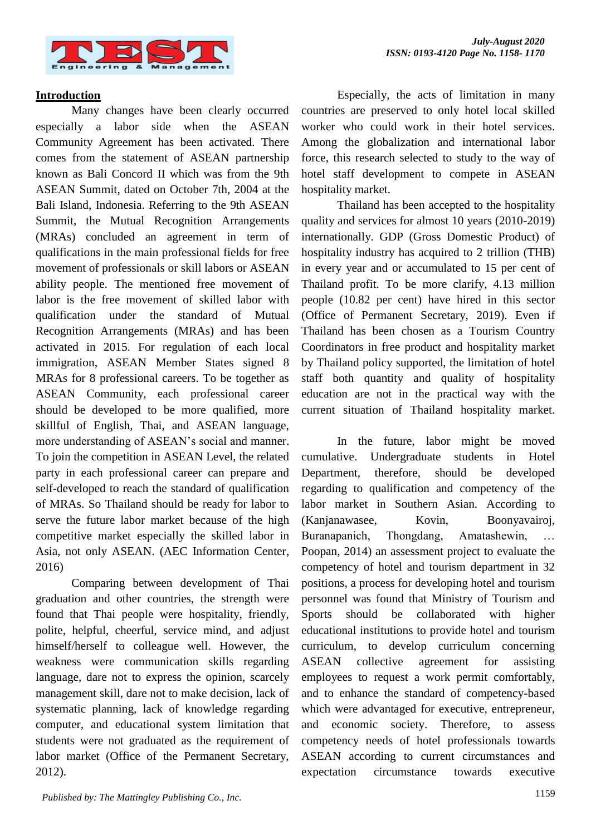

## **Introduction**

Many changes have been clearly occurred especially a labor side when the ASEAN Community Agreement has been activated. There comes from the statement of ASEAN partnership known as Bali Concord II which was from the 9th ASEAN Summit, dated on October 7th, 2004 at the Bali Island, Indonesia. Referring to the 9th ASEAN Summit, the Mutual Recognition Arrangements (MRAs) concluded an agreement in term of qualifications in the main professional fields for free movement of professionals or skill labors or ASEAN ability people. The mentioned free movement of labor is the free movement of skilled labor with qualification under the standard of Mutual Recognition Arrangements (MRAs) and has been activated in 2015. For regulation of each local immigration, ASEAN Member States signed 8 MRAs for 8 professional careers. To be together as ASEAN Community, each professional career should be developed to be more qualified, more skillful of English, Thai, and ASEAN language, more understanding of ASEAN's social and manner. To join the competition in ASEAN Level, the related party in each professional career can prepare and self-developed to reach the standard of qualification of MRAs. So Thailand should be ready for labor to serve the future labor market because of the high competitive market especially the skilled labor in Asia, not only ASEAN. (AEC Information Center, 2016)

Comparing between development of Thai graduation and other countries, the strength were found that Thai people were hospitality, friendly, polite, helpful, cheerful, service mind, and adjust himself/herself to colleague well. However, the weakness were communication skills regarding language, dare not to express the opinion, scarcely management skill, dare not to make decision, lack of systematic planning, lack of knowledge regarding computer, and educational system limitation that students were not graduated as the requirement of labor market (Office of the Permanent Secretary, 2012).

Especially, the acts of limitation in many countries are preserved to only hotel local skilled worker who could work in their hotel services. Among the globalization and international labor force, this research selected to study to the way of hotel staff development to compete in ASEAN hospitality market.

Thailand has been accepted to the hospitality quality and services for almost 10 years (2010-2019) internationally. GDP (Gross Domestic Product) of hospitality industry has acquired to 2 trillion (THB) in every year and or accumulated to 15 per cent of Thailand profit. To be more clarify, 4.13 million people (10.82 per cent) have hired in this sector (Office of Permanent Secretary, 2019). Even if Thailand has been chosen as a Tourism Country Coordinators in free product and hospitality market by Thailand policy supported, the limitation of hotel staff both quantity and quality of hospitality education are not in the practical way with the current situation of Thailand hospitality market.

In the future, labor might be moved cumulative. Undergraduate students in Hotel Department, therefore, should be developed regarding to qualification and competency of the labor market in Southern Asian. According to (Kanjanawasee, Kovin, Boonyavairoj, Buranapanich, Thongdang, Amatashewin, … Poopan, 2014) an assessment project to evaluate the competency of hotel and tourism department in 32 positions, a process for developing hotel and tourism personnel was found that Ministry of Tourism and Sports should be collaborated with higher educational institutions to provide hotel and tourism curriculum, to develop curriculum concerning ASEAN collective agreement for assisting employees to request a work permit comfortably, and to enhance the standard of competency-based which were advantaged for executive, entrepreneur, and economic society. Therefore, to assess competency needs of hotel professionals towards ASEAN according to current circumstances and expectation circumstance towards executive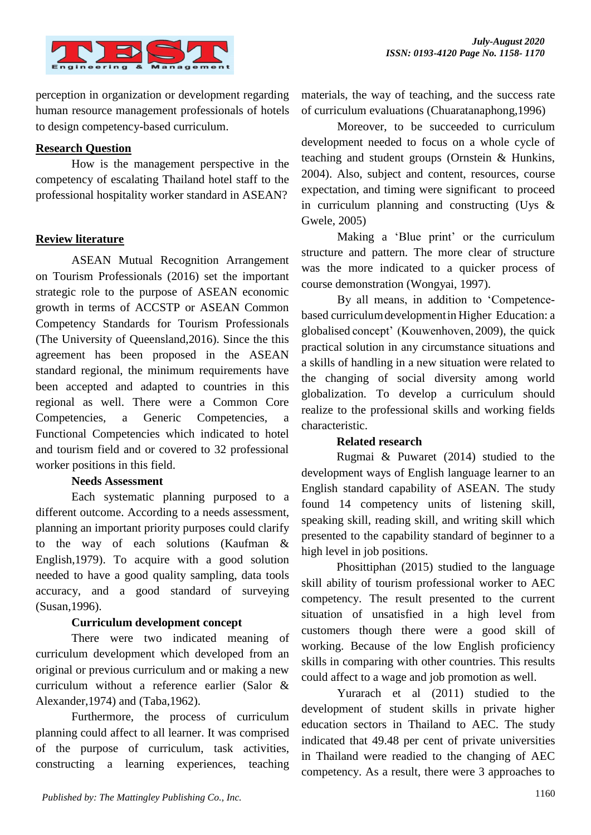

perception in organization or development regarding human resource management professionals of hotels to design competency-based curriculum.

# **Research Question**

How is the management perspective in the competency of escalating Thailand hotel staff to the professional hospitality worker standard in ASEAN?

# **Review literature**

ASEAN Mutual Recognition Arrangement on Tourism Professionals (2016) set the important strategic role to the purpose of ASEAN economic growth in terms of ACCSTP or ASEAN Common Competency Standards for Tourism Professionals (The University of Queensland,2016). Since the this agreement has been proposed in the ASEAN standard regional, the minimum requirements have been accepted and adapted to countries in this regional as well. There were a Common Core Competencies, a Generic Competencies, a Functional Competencies which indicated to hotel and tourism field and or covered to 32 professional worker positions in this field.

# **Needs Assessment**

Each systematic planning purposed to a different outcome. According to a needs assessment, planning an important priority purposes could clarify to the way of each solutions (Kaufman & English,1979). To acquire with a good solution needed to have a good quality sampling, data tools accuracy, and a good standard of surveying (Susan,1996).

# **Curriculum development concept**

There were two indicated meaning of curriculum development which developed from an original or previous curriculum and or making a new curriculum without a reference earlier (Salor & Alexander,1974) and (Taba,1962).

Furthermore, the process of curriculum planning could affect to all learner. It was comprised of the purpose of curriculum, task activities, constructing a learning experiences, teaching

materials, the way of teaching, and the success rate of curriculum evaluations (Chuaratanaphong,1996)

Moreover, to be succeeded to curriculum development needed to focus on a whole cycle of teaching and student groups (Ornstein & Hunkins, 2004). Also, subject and content, resources, course expectation, and timing were significant to proceed in curriculum planning and constructing (Uys & Gwele, 2005)

Making a 'Blue print' or the curriculum structure and pattern. The more clear of structure was the more indicated to a quicker process of course demonstration (Wongyai, 1997).

By all means, in addition to 'Competencebased curriculumdevelopmentin Higher Education: a globalised concept' (Kouwenhoven, 2009), the quick practical solution in any circumstance situations and a skills of handling in a new situation were related to the changing of social diversity among world globalization. To develop a curriculum should realize to the professional skills and working fields characteristic.

# **Related research**

Rugmai & Puwaret (2014) studied to the development ways of English language learner to an English standard capability of ASEAN. The study found 14 competency units of listening skill, speaking skill, reading skill, and writing skill which presented to the capability standard of beginner to a high level in job positions.

Phosittiphan (2015) studied to the language skill ability of tourism professional worker to AEC competency. The result presented to the current situation of unsatisfied in a high level from customers though there were a good skill of working. Because of the low English proficiency skills in comparing with other countries. This results could affect to a wage and job promotion as well.

Yurarach et al (2011) studied to the development of student skills in private higher education sectors in Thailand to AEC. The study indicated that 49.48 per cent of private universities in Thailand were readied to the changing of AEC competency. As a result, there were 3 approaches to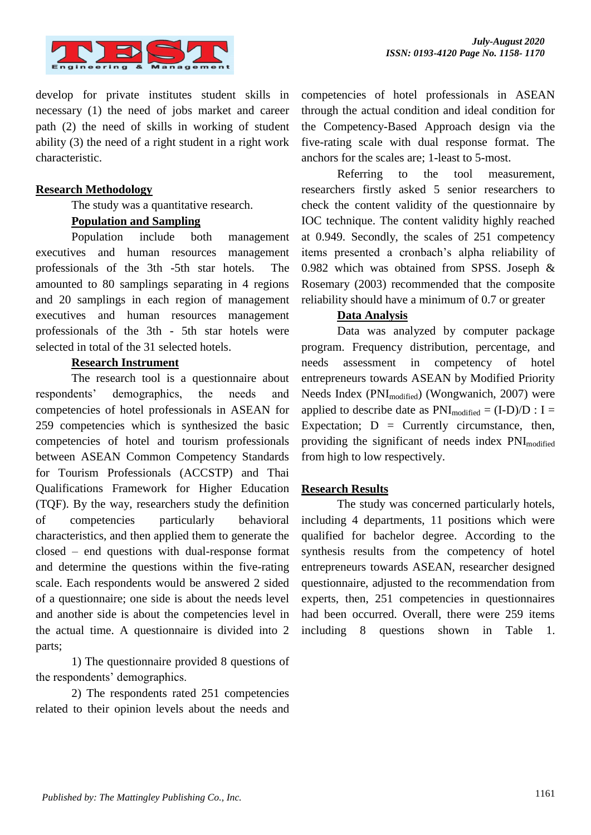

develop for private institutes student skills in necessary (1) the need of jobs market and career path (2) the need of skills in working of student ability (3) the need of a right student in a right work characteristic.

## **Research Methodology**

The study was a quantitative research.

#### **Population and Sampling**

Population include both management executives and human resources management professionals of the 3th -5th star hotels. The amounted to 80 samplings separating in 4 regions and 20 samplings in each region of management executives and human resources management professionals of the 3th - 5th star hotels were selected in total of the 31 selected hotels.

#### **Research Instrument**

The research tool is a questionnaire about respondents' demographics, the needs and competencies of hotel professionals in ASEAN for 259 competencies which is synthesized the basic competencies of hotel and tourism professionals between ASEAN Common Competency Standards for Tourism Professionals (ACCSTP) and Thai Qualifications Framework for Higher Education (TQF). By the way, researchers study the definition of competencies particularly behavioral characteristics, and then applied them to generate the closed – end questions with dual-response format and determine the questions within the five-rating scale. Each respondents would be answered 2 sided of a questionnaire; one side is about the needs level and another side is about the competencies level in the actual time. A questionnaire is divided into 2 parts;

1) The questionnaire provided 8 questions of the respondents' demographics.

2) The respondents rated 251 competencies related to their opinion levels about the needs and competencies of hotel professionals in ASEAN through the actual condition and ideal condition for the Competency-Based Approach design via the five-rating scale with dual response format. The anchors for the scales are; 1-least to 5-most.

Referring to the tool measurement, researchers firstly asked 5 senior researchers to check the content validity of the questionnaire by IOC technique. The content validity highly reached at 0.949. Secondly, the scales of 251 competency items presented a cronbach's alpha reliability of 0.982 which was obtained from SPSS. Joseph & Rosemary (2003) recommended that the composite reliability should have a minimum of 0.7 or greater

#### **Data Analysis**

Data was analyzed by computer package program. Frequency distribution, percentage, and needs assessment in competency of hotel entrepreneurs towards ASEAN by Modified Priority Needs Index (PNImodified) (Wongwanich, 2007) were applied to describe date as  $PNI_{modified} = (I-D)/D : I =$ Expectation;  $D =$  Currently circumstance, then, providing the significant of needs index PNI<sub>modified</sub> from high to low respectively.

# **Research Results**

The study was concerned particularly hotels, including 4 departments, 11 positions which were qualified for bachelor degree. According to the synthesis results from the competency of hotel entrepreneurs towards ASEAN, researcher designed questionnaire, adjusted to the recommendation from experts, then, 251 competencies in questionnaires had been occurred. Overall, there were 259 items including 8 questions shown in Table 1.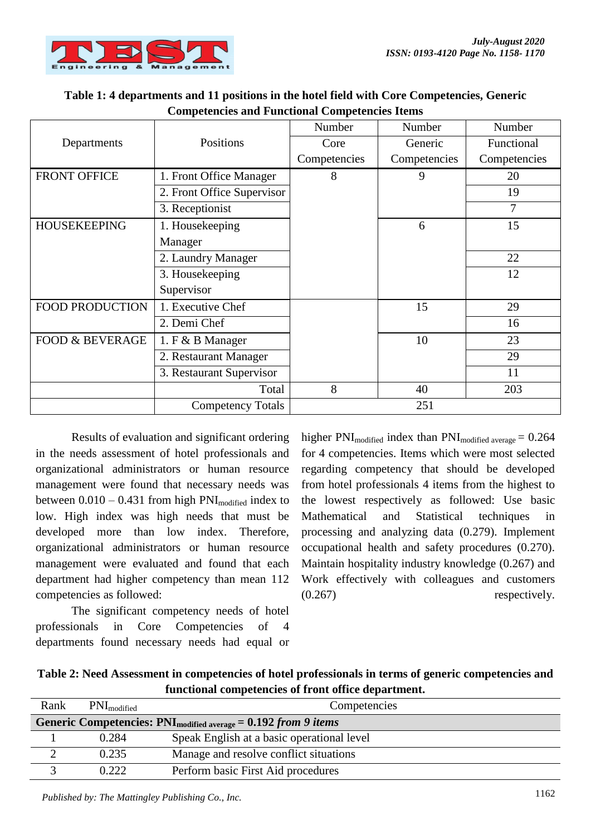

| Table 1: 4 departments and 11 positions in the hotel field with Core Competencies, Generic |
|--------------------------------------------------------------------------------------------|
| <b>Competencies and Functional Competencies Items</b>                                      |

|                            |                            | Number       | Number       | Number       |
|----------------------------|----------------------------|--------------|--------------|--------------|
| Departments                | Positions                  | Core         | Generic      | Functional   |
|                            |                            | Competencies | Competencies | Competencies |
| <b>FRONT OFFICE</b>        | 1. Front Office Manager    | 8            | 9            | 20           |
|                            | 2. Front Office Supervisor |              |              | 19           |
|                            | 3. Receptionist            |              |              | 7            |
| <b>HOUSEKEEPING</b>        | 1. Housekeeping            |              | 6            | 15           |
|                            | Manager                    |              |              |              |
|                            | 2. Laundry Manager         |              |              | 22           |
|                            | 3. Housekeeping            |              |              | 12           |
|                            | Supervisor                 |              |              |              |
| <b>FOOD PRODUCTION</b>     | 1. Executive Chef          |              | 15           | 29           |
|                            | 2. Demi Chef               |              |              | 16           |
| <b>FOOD &amp; BEVERAGE</b> | 1. F & B Manager           |              | 10           | 23           |
|                            | 2. Restaurant Manager      |              |              | 29           |
|                            | 3. Restaurant Supervisor   |              |              | 11           |
|                            | Total                      | 8            | 40           | 203          |
|                            | <b>Competency Totals</b>   |              | 251          |              |

Results of evaluation and significant ordering in the needs assessment of hotel professionals and organizational administrators or human resource management were found that necessary needs was between  $0.010 - 0.431$  from high PNI<sub>modified</sub> index to low. High index was high needs that must be developed more than low index. Therefore, organizational administrators or human resource management were evaluated and found that each department had higher competency than mean 112 competencies as followed:

The significant competency needs of hotel professionals in Core Competencies of 4 departments found necessary needs had equal or

higher PNI<sub>modified</sub> index than PNI<sub>modified average</sub>  $= 0.264$ for 4 competencies. Items which were most selected regarding competency that should be developed from hotel professionals 4 items from the highest to the lowest respectively as followed: Use basic Mathematical and Statistical techniques in processing and analyzing data (0.279). Implement occupational health and safety procedures (0.270). Maintain hospitality industry knowledge (0.267) and Work effectively with colleagues and customers (0.267) respectively.

| Table 2: Need Assessment in competencies of hotel professionals in terms of generic competencies and |
|------------------------------------------------------------------------------------------------------|
| functional competencies of front office department.                                                  |

| Rank | $PNI_{modified}$ | Competencies                                                         |
|------|------------------|----------------------------------------------------------------------|
|      |                  | Generic Competencies: $PNI_{modified\ average} = 0.192 from 9 items$ |
|      | 0.284            | Speak English at a basic operational level                           |
|      | 0.235            | Manage and resolve conflict situations                               |
|      | 0.222            | Perform basic First Aid procedures                                   |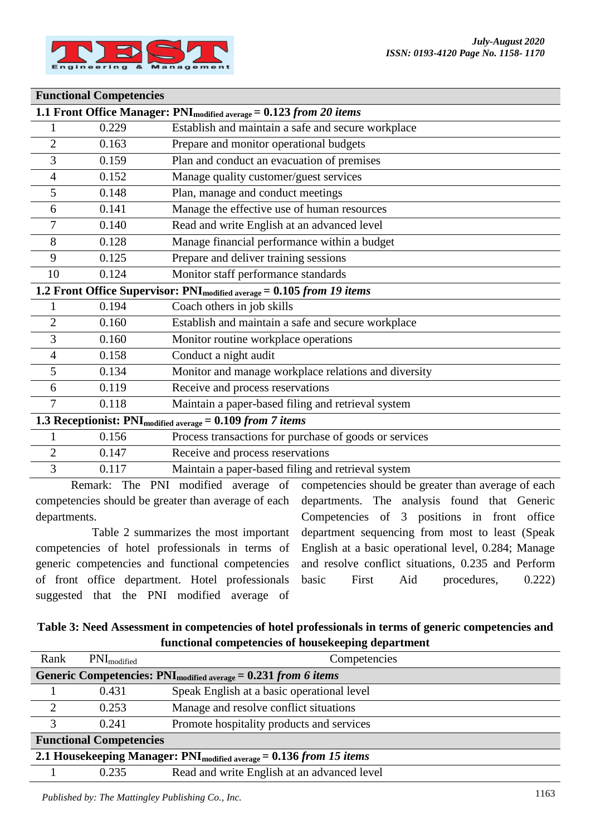

#### **Functional Competencies**

| 1.1 Front Office Manager: PNI <sub>modified average</sub> = 0.123 from 20 items |             |                                                                                    |  |
|---------------------------------------------------------------------------------|-------------|------------------------------------------------------------------------------------|--|
|                                                                                 | 0.229       | Establish and maintain a safe and secure workplace                                 |  |
| $\overline{2}$                                                                  | 0.163       | Prepare and monitor operational budgets                                            |  |
| 3                                                                               | 0.159       | Plan and conduct an evacuation of premises                                         |  |
| 4                                                                               | 0.152       | Manage quality customer/guest services                                             |  |
| 5                                                                               | 0.148       | Plan, manage and conduct meetings                                                  |  |
| 6                                                                               | 0.141       | Manage the effective use of human resources                                        |  |
| 7                                                                               | 0.140       | Read and write English at an advanced level                                        |  |
| 8                                                                               | 0.128       | Manage financial performance within a budget                                       |  |
| 9                                                                               | 0.125       | Prepare and deliver training sessions                                              |  |
| 10                                                                              | 0.124       | Monitor staff performance standards                                                |  |
|                                                                                 |             | 1.2 Front Office Supervisor: PNI <sub>modified average</sub> = 0.105 from 19 items |  |
| 1                                                                               | 0.194       | Coach others in job skills                                                         |  |
| $\overline{2}$                                                                  | 0.160       | Establish and maintain a safe and secure workplace                                 |  |
| 3                                                                               | 0.160       | Monitor routine workplace operations                                               |  |
| 4                                                                               | 0.158       | Conduct a night audit                                                              |  |
| 5                                                                               | 0.134       | Monitor and manage workplace relations and diversity                               |  |
| 6                                                                               | 0.119       | Receive and process reservations                                                   |  |
| 7                                                                               | 0.118       | Maintain a paper-based filing and retrieval system                                 |  |
| 1.3 Receptionist: $PNI_{modified\ average} = 0.109 from 7 items$                |             |                                                                                    |  |
|                                                                                 | 0.156       | Process transactions for purchase of goods or services                             |  |
| $\overline{2}$                                                                  | 0.147       | Receive and process reservations                                                   |  |
| 3                                                                               | 0.117       | Maintain a paper-based filing and retrieval system                                 |  |
|                                                                                 | Remark: The | PNI modified average of competencies should be greater than average of each        |  |

Remark: The PNI modified average competencies should be greater than average of each departments.

Table 2 summarizes the most important competencies of hotel professionals in terms of generic competencies and functional competencies of front office department. Hotel professionals suggested that the PNI modified average of

competencies should be greater than average of each departments. The analysis found that Generic Competencies of 3 positions in front office department sequencing from most to least (Speak English at a basic operational level, 0.284; Manage and resolve conflict situations, 0.235 and Perform basic First Aid procedures, 0.222)

# **Table 3: Need Assessment in competencies of hotel professionals in terms of generic competencies and functional competencies of housekeeping department**

| Rank                                                                      | $PNI_{modified}$                                                     | Competencies                                |  |  |
|---------------------------------------------------------------------------|----------------------------------------------------------------------|---------------------------------------------|--|--|
|                                                                           | Generic Competencies: $PNI_{modified\ average} = 0.231$ from 6 items |                                             |  |  |
|                                                                           | 0.431                                                                | Speak English at a basic operational level  |  |  |
| $\overline{2}$                                                            | 0.253                                                                | Manage and resolve conflict situations      |  |  |
| $\mathcal{R}$                                                             | 0.241                                                                | Promote hospitality products and services   |  |  |
| <b>Functional Competencies</b>                                            |                                                                      |                                             |  |  |
| 2.1 Housekeeping Manager: $PNI_{modified\ average} = 0.136 from 15 items$ |                                                                      |                                             |  |  |
|                                                                           | 0.235                                                                | Read and write English at an advanced level |  |  |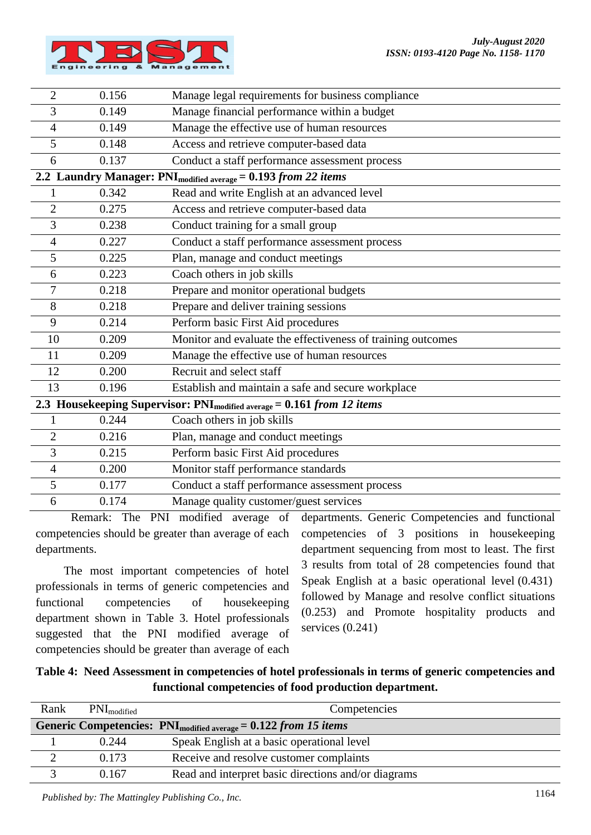

| $\overline{2}$                                                                     | 0.156 | Manage legal requirements for business compliance                          |  |  |
|------------------------------------------------------------------------------------|-------|----------------------------------------------------------------------------|--|--|
| 3                                                                                  | 0.149 | Manage financial performance within a budget                               |  |  |
| 4                                                                                  | 0.149 | Manage the effective use of human resources                                |  |  |
| 5                                                                                  | 0.148 | Access and retrieve computer-based data                                    |  |  |
| 6                                                                                  | 0.137 | Conduct a staff performance assessment process                             |  |  |
|                                                                                    |       | 2.2 Laundry Manager: PNI <sub>modified average</sub> = 0.193 from 22 items |  |  |
|                                                                                    | 0.342 | Read and write English at an advanced level                                |  |  |
| $\overline{2}$                                                                     | 0.275 | Access and retrieve computer-based data                                    |  |  |
| 3                                                                                  | 0.238 | Conduct training for a small group                                         |  |  |
| $\overline{4}$                                                                     | 0.227 | Conduct a staff performance assessment process                             |  |  |
| 5                                                                                  | 0.225 | Plan, manage and conduct meetings                                          |  |  |
| 6                                                                                  | 0.223 | Coach others in job skills                                                 |  |  |
| 7                                                                                  | 0.218 | Prepare and monitor operational budgets                                    |  |  |
| 8                                                                                  | 0.218 | Prepare and deliver training sessions                                      |  |  |
| 9                                                                                  | 0.214 | Perform basic First Aid procedures                                         |  |  |
| 10                                                                                 | 0.209 | Monitor and evaluate the effectiveness of training outcomes                |  |  |
| 11                                                                                 | 0.209 | Manage the effective use of human resources                                |  |  |
| 12                                                                                 | 0.200 | Recruit and select staff                                                   |  |  |
| 13                                                                                 | 0.196 | Establish and maintain a safe and secure workplace                         |  |  |
| 2.3 Housekeeping Supervisor: PNI <sub>modified average</sub> = 0.161 from 12 items |       |                                                                            |  |  |
| $\mathbf{1}$                                                                       | 0.244 | Coach others in job skills                                                 |  |  |
| $\overline{c}$                                                                     | 0.216 | Plan, manage and conduct meetings                                          |  |  |
| 3                                                                                  | 0.215 | Perform basic First Aid procedures                                         |  |  |
| $\overline{4}$                                                                     | 0.200 | Monitor staff performance standards                                        |  |  |
| 5                                                                                  | 0.177 | Conduct a staff performance assessment process                             |  |  |
| 6                                                                                  | 0.174 | Manage quality customer/guest services                                     |  |  |

Remark: The PNI modified average of competencies should be greater than average of each departments.

The most important competencies of hotel professionals in terms of generic competencies and functional competencies of housekeeping department shown in Table 3. Hotel professionals suggested that the PNI modified average of competencies should be greater than average of each departments. Generic Competencies and functional competencies of 3 positions in housekeeping department sequencing from most to least. The first 3 results from total of 28 competencies found that Speak English at a basic operational level (0.431) followed by Manage and resolve conflict situations (0.253) and Promote hospitality products and services  $(0.241)$ 

| Table 4: Need Assessment in competencies of hotel professionals in terms of generic competencies and |
|------------------------------------------------------------------------------------------------------|
| functional competencies of food production department.                                               |

| Rank | $PNI_{modified}$ | Competencies                                                         |
|------|------------------|----------------------------------------------------------------------|
|      |                  | Generic Competencies: $PNI_{modified average} = 0.122 from 15 items$ |
|      | 0.244            | Speak English at a basic operational level                           |
|      | 0.173            | Receive and resolve customer complaints                              |
|      | 0.167            | Read and interpret basic directions and/or diagrams                  |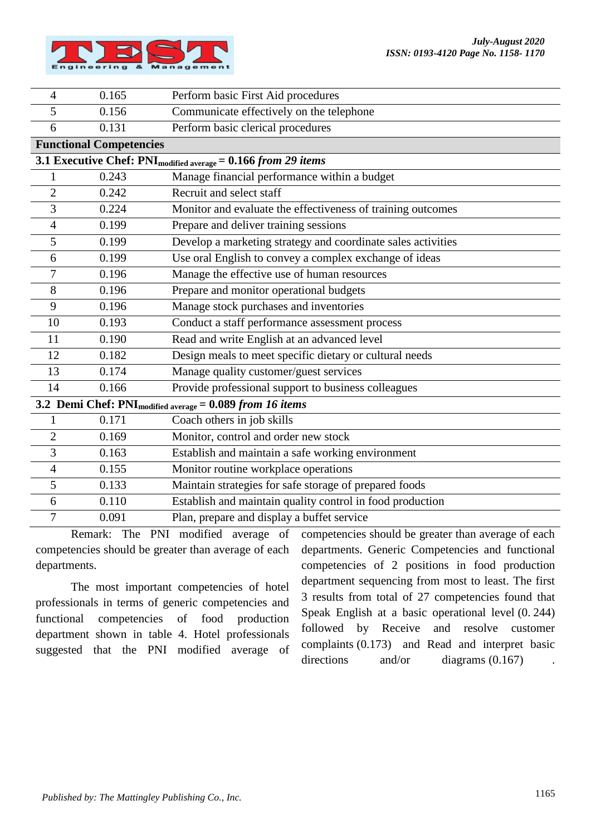

| $\overline{4}$ | 0.165                          | Perform basic First Aid procedures                                        |
|----------------|--------------------------------|---------------------------------------------------------------------------|
| 5              | 0.156                          | Communicate effectively on the telephone                                  |
| 6              | 0.131                          | Perform basic clerical procedures                                         |
|                | <b>Functional Competencies</b> |                                                                           |
|                |                                | 3.1 Executive Chef: PNI <sub>modified average</sub> = 0.166 from 29 items |
| 1              | 0.243                          | Manage financial performance within a budget                              |
| $\overline{2}$ | 0.242                          | Recruit and select staff                                                  |
| 3              | 0.224                          | Monitor and evaluate the effectiveness of training outcomes               |
| $\overline{4}$ | 0.199                          | Prepare and deliver training sessions                                     |
| 5              | 0.199                          | Develop a marketing strategy and coordinate sales activities              |
| 6              | 0.199                          | Use oral English to convey a complex exchange of ideas                    |
| 7              | 0.196                          | Manage the effective use of human resources                               |
| 8              | 0.196                          | Prepare and monitor operational budgets                                   |
| 9              | 0.196                          | Manage stock purchases and inventories                                    |
| 10             | 0.193                          | Conduct a staff performance assessment process                            |
| 11             | 0.190                          | Read and write English at an advanced level                               |
| 12             | 0.182                          | Design meals to meet specific dietary or cultural needs                   |
| 13             | 0.174                          | Manage quality customer/guest services                                    |
| 14             | 0.166                          | Provide professional support to business colleagues                       |
|                |                                | 3.2 Demi Chef: $PNI_{modified average} = 0.089$ from 16 items             |
| 1              | 0.171                          | Coach others in job skills                                                |
| $\overline{2}$ | 0.169                          | Monitor, control and order new stock                                      |
| 3              | 0.163                          | Establish and maintain a safe working environment                         |
| $\overline{4}$ | 0.155                          | Monitor routine workplace operations                                      |
| 5              | 0.133                          | Maintain strategies for safe storage of prepared foods                    |
| 6              | 0.110                          | Establish and maintain quality control in food production                 |
| $\tau$         | 0.091                          | Plan, prepare and display a buffet service                                |

Remark: The PNI modified average of competencies should be greater than average of each departments.

The most important competencies of hotel professionals in terms of generic competencies and functional competencies of food production department shown in table 4. Hotel professionals suggested that the PNI modified average of competencies should be greater than average of each departments. Generic Competencies and functional competencies of 2 positions in food production department sequencing from most to least. The first 3 results from total of 27 competencies found that Speak English at a basic operational level (0. 244) followed by Receive and resolve customer complaints (0.173) and Read and interpret basic directions and/or diagrams  $(0.167)$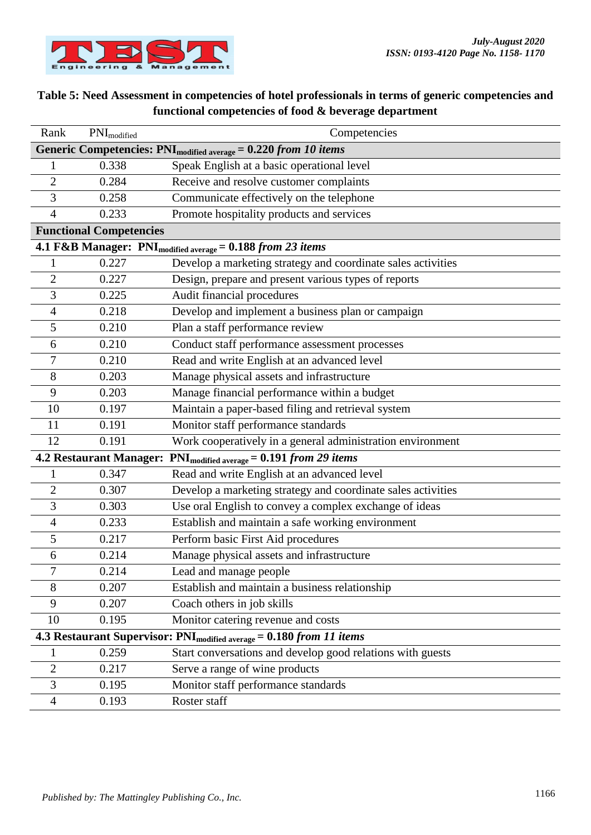

# **Table 5: Need Assessment in competencies of hotel professionals in terms of generic competencies and functional competencies of food & beverage department**

| Rank                                                                             | PNI <sub>modified</sub>                                                          | Competencies                                                                |  |
|----------------------------------------------------------------------------------|----------------------------------------------------------------------------------|-----------------------------------------------------------------------------|--|
|                                                                                  |                                                                                  | Generic Competencies: PNI <sub>modified average</sub> = 0.220 from 10 items |  |
|                                                                                  | 0.338                                                                            | Speak English at a basic operational level                                  |  |
| $\overline{2}$                                                                   | 0.284                                                                            | Receive and resolve customer complaints                                     |  |
| 3                                                                                | 0.258                                                                            | Communicate effectively on the telephone                                    |  |
| 4                                                                                | 0.233                                                                            | Promote hospitality products and services                                   |  |
|                                                                                  | <b>Functional Competencies</b>                                                   |                                                                             |  |
|                                                                                  |                                                                                  | 4.1 F&B Manager: PNI <sub>modified average</sub> = 0.188 from 23 items      |  |
| 1                                                                                | 0.227                                                                            | Develop a marketing strategy and coordinate sales activities                |  |
| $\overline{c}$                                                                   | 0.227                                                                            | Design, prepare and present various types of reports                        |  |
| 3                                                                                | 0.225                                                                            | Audit financial procedures                                                  |  |
| 4                                                                                | 0.218                                                                            | Develop and implement a business plan or campaign                           |  |
| 5                                                                                | 0.210                                                                            | Plan a staff performance review                                             |  |
| 6                                                                                | 0.210                                                                            | Conduct staff performance assessment processes                              |  |
| 7                                                                                | 0.210                                                                            | Read and write English at an advanced level                                 |  |
| 8                                                                                | 0.203                                                                            | Manage physical assets and infrastructure                                   |  |
| 9                                                                                | 0.203                                                                            | Manage financial performance within a budget                                |  |
| 10                                                                               | 0.197                                                                            | Maintain a paper-based filing and retrieval system                          |  |
| 11                                                                               | 0.191                                                                            | Monitor staff performance standards                                         |  |
| 12                                                                               | 0.191                                                                            | Work cooperatively in a general administration environment                  |  |
| <b>4.2 Restaurant Manager:</b><br>$PNI_{modified average} = 0.191 from 29 items$ |                                                                                  |                                                                             |  |
| 1                                                                                | 0.347                                                                            | Read and write English at an advanced level                                 |  |
| $\overline{2}$                                                                   | 0.307                                                                            | Develop a marketing strategy and coordinate sales activities                |  |
| 3                                                                                | 0.303                                                                            | Use oral English to convey a complex exchange of ideas                      |  |
| 4                                                                                | 0.233                                                                            | Establish and maintain a safe working environment                           |  |
| 5                                                                                | 0.217                                                                            | Perform basic First Aid procedures                                          |  |
| 6                                                                                | 0.214                                                                            | Manage physical assets and infrastructure                                   |  |
|                                                                                  | 0.214                                                                            | Lead and manage people                                                      |  |
| 8                                                                                | 0.207                                                                            | Establish and maintain a business relationship                              |  |
| 9                                                                                | 0.207                                                                            | Coach others in job skills                                                  |  |
| 10                                                                               | 0.195                                                                            | Monitor catering revenue and costs                                          |  |
|                                                                                  | 4.3 Restaurant Supervisor: PNI <sub>modified average</sub> = 0.180 from 11 items |                                                                             |  |
| $\mathbf 1$                                                                      | 0.259                                                                            | Start conversations and develop good relations with guests                  |  |
| 2                                                                                | 0.217                                                                            | Serve a range of wine products                                              |  |
| 3                                                                                | 0.195                                                                            | Monitor staff performance standards                                         |  |
| 4                                                                                | 0.193                                                                            | Roster staff                                                                |  |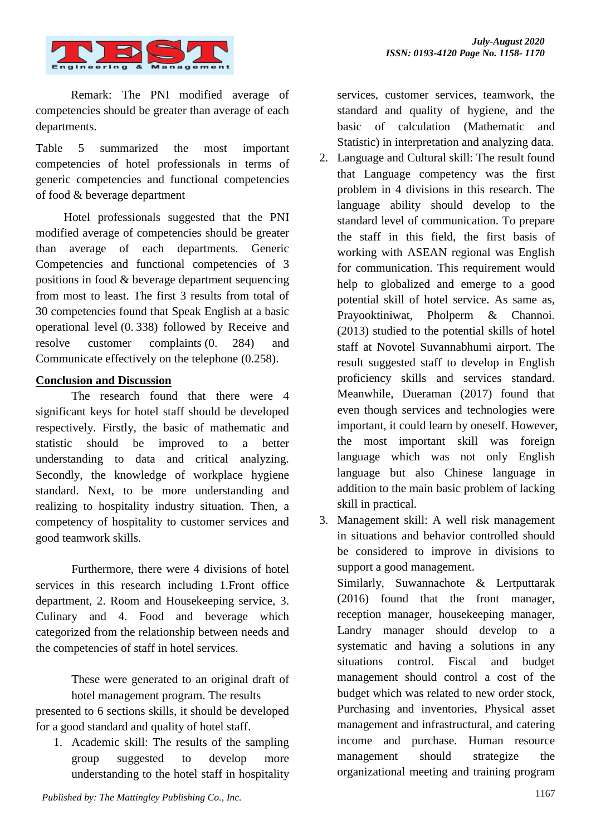

Remark: The PNI modified average of competencies should be greater than average of each departments.

Table 5 summarized the most important competencies of hotel professionals in terms of generic competencies and functional competencies of food & beverage department

Hotel professionals suggested that the PNI modified average of competencies should be greater than average of each departments. Generic Competencies and functional competencies of 3 positions in food & beverage department sequencing from most to least. The first 3 results from total of 30 competencies found that Speak English at a basic operational level (0. 338) followed by Receive and resolve customer complaints (0. 284) and Communicate effectively on the telephone (0.258).

# **Conclusion and Discussion**

 The research found that there were 4 significant keys for hotel staff should be developed respectively. Firstly, the basic of mathematic and statistic should be improved to a better understanding to data and critical analyzing. Secondly, the knowledge of workplace hygiene standard. Next, to be more understanding and realizing to hospitality industry situation. Then, a competency of hospitality to customer services and good teamwork skills.

Furthermore, there were 4 divisions of hotel services in this research including 1.Front office department, 2. Room and Housekeeping service, 3. Culinary and 4. Food and beverage which categorized from the relationship between needs and the competencies of staff in hotel services.

> These were generated to an original draft of hotel management program. The results

presented to 6 sections skills, it should be developed for a good standard and quality of hotel staff.

1. Academic skill: The results of the sampling group suggested to develop more understanding to the hotel staff in hospitality services, customer services, teamwork, the standard and quality of hygiene, and the basic of calculation (Mathematic and Statistic) in interpretation and analyzing data.

- 2. Language and Cultural skill: The result found that Language competency was the first problem in 4 divisions in this research. The language ability should develop to the standard level of communication. To prepare the staff in this field, the first basis of working with ASEAN regional was English for communication. This requirement would help to globalized and emerge to a good potential skill of hotel service. As same as, Prayooktiniwat, Pholperm & Channoi. (2013) studied to the potential skills of hotel staff at Novotel Suvannabhumi airport. The result suggested staff to develop in English proficiency skills and services standard. Meanwhile, Dueraman (2017) found that even though services and technologies were important, it could learn by oneself. However, the most important skill was foreign language which was not only English language but also Chinese language in addition to the main basic problem of lacking skill in practical.
- 3. Management skill: A well risk management in situations and behavior controlled should be considered to improve in divisions to support a good management.

Similarly, Suwannachote & Lertputtarak (2016) found that the front manager, reception manager, housekeeping manager, Landry manager should develop to a systematic and having a solutions in any situations control. Fiscal and budget management should control a cost of the budget which was related to new order stock, Purchasing and inventories, Physical asset management and infrastructural, and catering income and purchase. Human resource management should strategize the organizational meeting and training program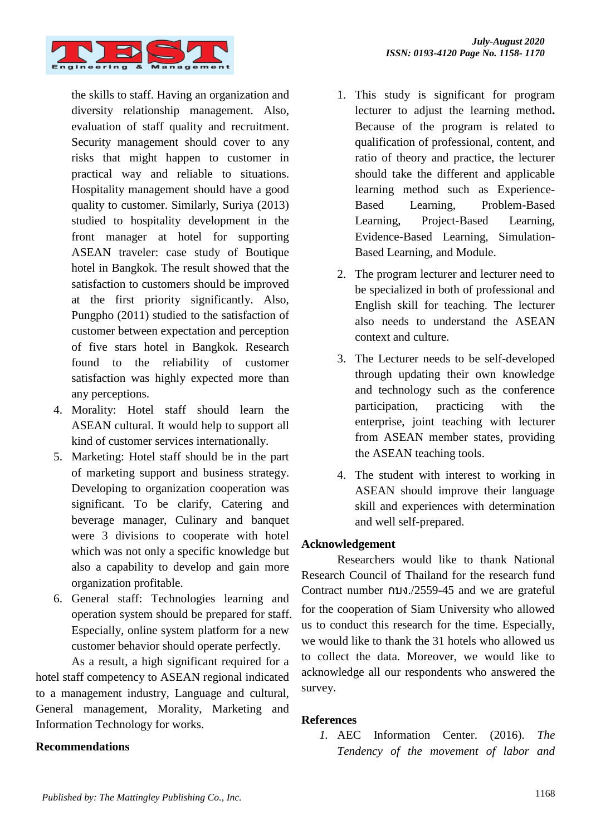

the skills to staff. Having an organization and diversity relationship management. Also, evaluation of staff quality and recruitment. Security management should cover to any risks that might happen to customer in practical way and reliable to situations. Hospitality management should have a good quality to customer. Similarly, Suriya (2013) studied to hospitality development in the front manager at hotel for supporting ASEAN traveler: case study of Boutique hotel in Bangkok. The result showed that the satisfaction to customers should be improved at the first priority significantly. Also, Pungpho (2011) studied to the satisfaction of customer between expectation and perception of five stars hotel in Bangkok. Research found to the reliability of customer satisfaction was highly expected more than any perceptions.

- 4. Morality: Hotel staff should learn the ASEAN cultural. It would help to support all kind of customer services internationally.
- 5. Marketing: Hotel staff should be in the part of marketing support and business strategy. Developing to organization cooperation was significant. To be clarify, Catering and beverage manager, Culinary and banquet were 3 divisions to cooperate with hotel which was not only a specific knowledge but also a capability to develop and gain more organization profitable.
- 6. General staff: Technologies learning and operation system should be prepared for staff. Especially, online system platform for a new customer behavior should operate perfectly.

As a result, a high significant required for a hotel staff competency to ASEAN regional indicated to a management industry, Language and cultural, General management, Morality, Marketing and Information Technology for works.

# **Recommendations**

- 1. This study is significant for program lecturer to adjust the learning method**.**  Because of the program is related to qualification of professional, content, and ratio of theory and practice, the lecturer should take the different and applicable learning method such as Experience-Based Learning, Problem-Based Learning, Project-Based Learning, Evidence-Based Learning, Simulation-Based Learning, and Module.
- 2. The program lecturer and lecturer need to be specialized in both of professional and English skill for teaching. The lecturer also needs to understand the ASEAN context and culture.
- 3. The Lecturer needs to be self-developed through updating their own knowledge and technology such as the conference participation, practicing with the enterprise, joint teaching with lecturer from ASEAN member states, providing the ASEAN teaching tools.
- 4. The student with interest to working in ASEAN should improve their language skill and experiences with determination and well self-prepared.

# **Acknowledgement**

Researchers would like to thank National Research Council of Thailand for the research fund Contract number กบง./2559-45 and we are grateful for the cooperation of Siam University who allowed us to conduct this research for the time. Especially, we would like to thank the 31 hotels who allowed us to collect the data. Moreover, we would like to acknowledge all our respondents who answered the survey.

# **References**

*1.* AEC Information Center. (2016). *The Tendency of the movement of labor and*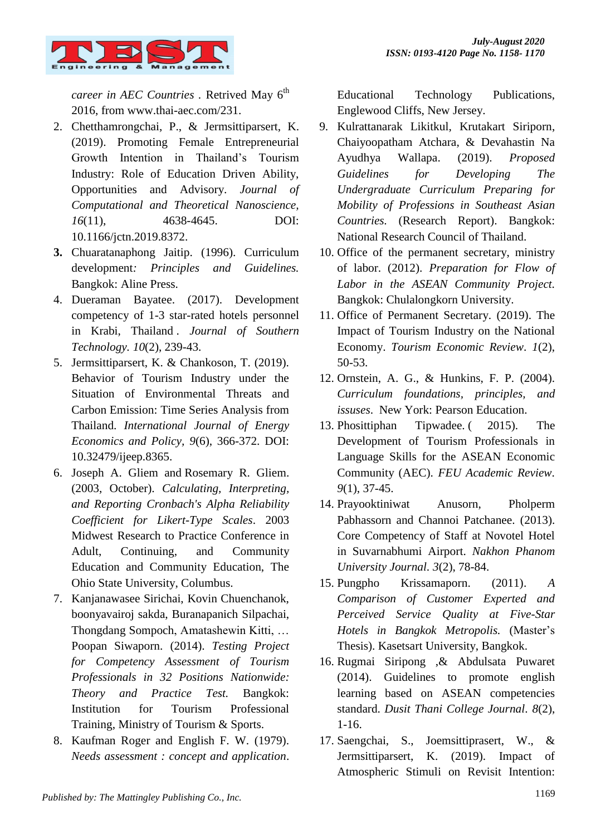

*career in AEC Countries . Retrived May 6<sup>th</sup>* 2016, from [www.thai-aec.com/231.](http://www.thai-aec.com/231)

- 2. Chetthamrongchai, P., & Jermsittiparsert, K. (2019). Promoting Female Entrepreneurial Growth Intention in Thailand's Tourism Industry: Role of Education Driven Ability, Opportunities and Advisory. *Journal of Computational and Theoretical Nanoscience, 16*(11), 4638-4645. DOI: 10.1166/jctn.2019.8372.
- **3.** Chuaratanaphong Jaitip. (1996). Curriculum development*: Principles and Guidelines.* Bangkok: Aline Press.
- 4. Dueraman Bayatee. (2017). Development competency of 1-3 star-rated hotels personnel in Krabi, Thailand . *Journal of Southern Technology. 10*(2), 239-43.
- 5. Jermsittiparsert, K. & Chankoson, T. (2019). Behavior of Tourism Industry under the Situation of Environmental Threats and Carbon Emission: Time Series Analysis from Thailand. *International Journal of Energy Economics and Policy, 9*(6), 366-372. DOI: 10.32479/ijeep.8365.
- 6. [Joseph A. Gliem](https://www.semanticscholar.org/author/Joseph-A.-Gliem/11961611) and [Rosemary R. Gliem.](https://www.semanticscholar.org/author/Rosemary-R.-Gliem/118186457) (2003, October). *Calculating, Interpreting, and Reporting Cronbach's Alpha Reliability Coefficient for Likert-Type Scales*. 2003 Midwest Research to Practice Conference in Adult, Continuing, and Community Education and Community Education, The Ohio State University, Columbus.
- 7. Kanjanawasee Sirichai, Kovin Chuenchanok, boonyavairoj sakda, Buranapanich Silpachai, Thongdang Sompoch, Amatashewin Kitti, … Poopan Siwaporn. (2014). *Testing Project for Competency Assessment of Tourism Professionals in 32 Positions Nationwide: Theory and Practice Test.* Bangkok: Institution for Tourism Professional Training, Ministry of Tourism & Sports.
- 8. Kaufman Roger and English F. W. (1979). *Needs assessment : concept and application*.

Educational Technology Publications, Englewood Cliffs, New Jersey.

- 9. Kulrattanarak Likitkul, Krutakart Siriporn, Chaiyoopatham Atchara, & Devahastin Na Ayudhya Wallapa. (2019). *Proposed Guidelines for Developing The Undergraduate Curriculum Preparing for Mobility of Professions in Southeast Asian Countries.* (Research Report). Bangkok: National Research Council of Thailand.
- 10. Office of the permanent secretary, ministry of labor. (2012). *Preparation for Flow of Labor in the ASEAN Community Project.* Bangkok: Chulalongkorn University.
- 11. Office of Permanent Secretary. (2019). The Impact of Tourism Industry on the National Economy. *Tourism Economic Review*. *1*(2), 50-53.
- 12. Ornstein, A. G., & Hunkins, F. P. (2004). *Curriculum foundations, principles, and issuses*. New York: Pearson Education.
- 13. Phosittiphan Tipwadee. ( 2015). The Development of Tourism Professionals in Language Skills for the ASEAN Economic Community (AEC)*. FEU Academic Review. 9*(1), 37-45.
- 14. Prayooktiniwat Anusorn, Pholperm Pabhassorn and Channoi Patchanee. (2013). Core Competency of Staff at Novotel Hotel in Suvarnabhumi Airport. *Nakhon Phanom University Journal. 3*(2), 78-84.
- 15. Pungpho Krissamaporn. (2011). *A Comparison of Customer Experted and Perceived Service Quality at Five-Star Hotels in Bangkok Metropolis.* (Master's Thesis). Kasetsart University, Bangkok.
- 16. Rugmai Siripong ,& Abdulsata Puwaret (2014). Guidelines to promote english learning based on ASEAN competencies standard. *Dusit Thani College Journal. 8*(2), 1-16.
- 17. Saengchai, S., Joemsittiprasert, W., & Jermsittiparsert, K. (2019). Impact of Atmospheric Stimuli on Revisit Intention: